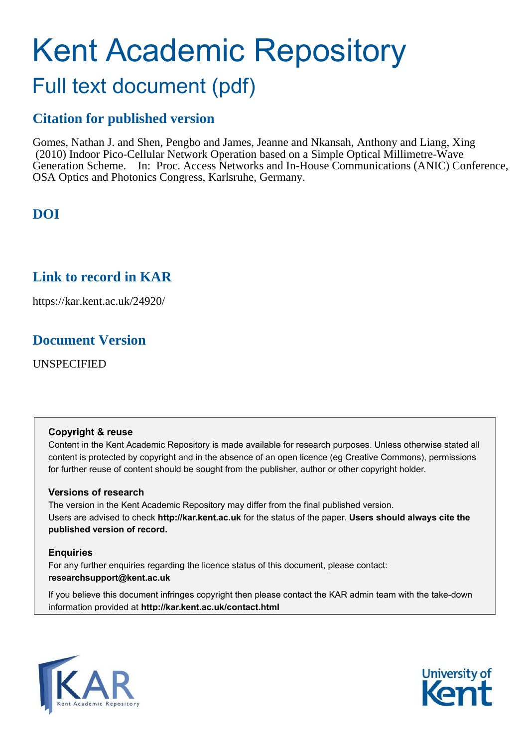# Kent Academic Repository

# Full text document (pdf)

# **Citation for published version**

Gomes, Nathan J. and Shen, Pengbo and James, Jeanne and Nkansah, Anthony and Liang, Xing (2010) Indoor Pico-Cellular Network Operation based on a Simple Optical Millimetre-Wave Generation Scheme. In: Proc. Access Networks and In-House Communications (ANIC) Conference, OSA Optics and Photonics Congress, Karlsruhe, Germany.

# **DOI**

## **Link to record in KAR**

https://kar.kent.ac.uk/24920/

## **Document Version**

UNSPECIFIED

#### **Copyright & reuse**

Content in the Kent Academic Repository is made available for research purposes. Unless otherwise stated all content is protected by copyright and in the absence of an open licence (eg Creative Commons), permissions for further reuse of content should be sought from the publisher, author or other copyright holder.

#### **Versions of research**

The version in the Kent Academic Repository may differ from the final published version. Users are advised to check **http://kar.kent.ac.uk** for the status of the paper. **Users should always cite the published version of record.**

#### **Enquiries**

For any further enquiries regarding the licence status of this document, please contact: **researchsupport@kent.ac.uk**

If you believe this document infringes copyright then please contact the KAR admin team with the take-down information provided at **http://kar.kent.ac.uk/contact.html**



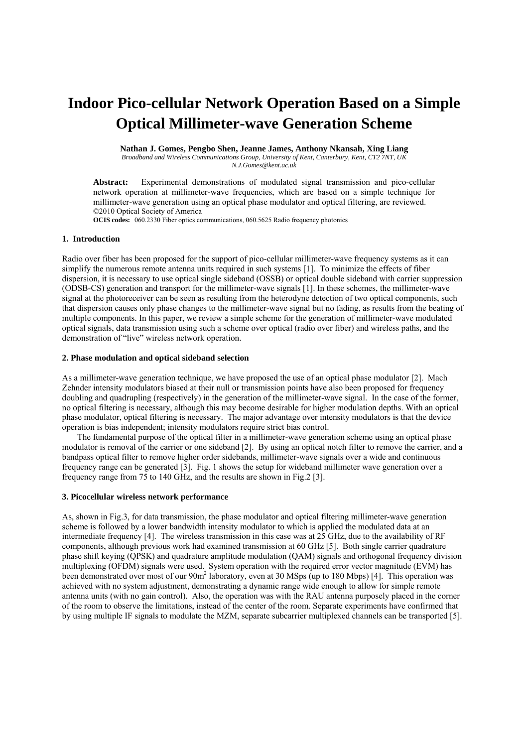# **Indoor Pico-cellular Network Operation Based on a Simple Optical Millimeter-wave Generation Scheme**

**Nathan J. Gomes, Pengbo Shen, Jeanne James, Anthony Nkansah, Xing Liang**  *Broadband and Wireless Communications Group, University of Kent, Canterbury, Kent, CT2 7NT, UK*

*N.J.Gomes@kent.ac.uk* 

**Abstract:** Experimental demonstrations of modulated signal transmission and pico-cellular network operation at millimeter-wave frequencies, which are based on a simple technique for millimeter-wave generation using an optical phase modulator and optical filtering, are reviewed. ©2010 Optical Society of America

**OCIS codes:** 060.2330 Fiber optics communications, 060.5625 Radio frequency photonics

#### **1. Introduction**

Radio over fiber has been proposed for the support of pico-cellular millimeter-wave frequency systems as it can simplify the numerous remote antenna units required in such systems [1]. To minimize the effects of fiber dispersion, it is necessary to use optical single sideband (OSSB) or optical double sideband with carrier suppression (ODSB-CS) generation and transport for the millimeter-wave signals [1]. In these schemes, the millimeter-wave signal at the photoreceiver can be seen as resulting from the heterodyne detection of two optical components, such that dispersion causes only phase changes to the millimeter-wave signal but no fading, as results from the beating of multiple components. In this paper, we review a simple scheme for the generation of millimeter-wave modulated optical signals, data transmission using such a scheme over optical (radio over fiber) and wireless paths, and the demonstration of "live" wireless network operation.

#### **2. Phase modulation and optical sideband selection**

As a millimeter-wave generation technique, we have proposed the use of an optical phase modulator [2]. Mach Zehnder intensity modulators biased at their null or transmission points have also been proposed for frequency doubling and quadrupling (respectively) in the generation of the millimeter-wave signal. In the case of the former, no optical filtering is necessary, although this may become desirable for higher modulation depths. With an optical phase modulator, optical filtering is necessary. The major advantage over intensity modulators is that the device operation is bias independent; intensity modulators require strict bias control.

The fundamental purpose of the optical filter in a millimeter-wave generation scheme using an optical phase modulator is removal of the carrier or one sideband [2]. By using an optical notch filter to remove the carrier, and a bandpass optical filter to remove higher order sidebands, millimeter-wave signals over a wide and continuous frequency range can be generated [3]. Fig. 1 shows the setup for wideband millimeter wave generation over a frequency range from 75 to 140 GHz, and the results are shown in Fig.2 [3].

#### **3. Picocellular wireless network performance**

As, shown in Fig.3, for data transmission, the phase modulator and optical filtering millimeter-wave generation scheme is followed by a lower bandwidth intensity modulator to which is applied the modulated data at an intermediate frequency [4]. The wireless transmission in this case was at 25 GHz, due to the availability of RF components, although previous work had examined transmission at 60 GHz [5]. Both single carrier quadrature phase shift keying (QPSK) and quadrature amplitude modulation (QAM) signals and orthogonal frequency division multiplexing (OFDM) signals were used. System operation with the required error vector magnitude (EVM) has been demonstrated over most of our 90m<sup>2</sup> laboratory, even at 30 MSps (up to 180 Mbps) [4]. This operation was achieved with no system adjustment, demonstrating a dynamic range wide enough to allow for simple remote antenna units (with no gain control). Also, the operation was with the RAU antenna purposely placed in the corner of the room to observe the limitations, instead of the center of the room. Separate experiments have confirmed that by using multiple IF signals to modulate the MZM, separate subcarrier multiplexed channels can be transported [5].